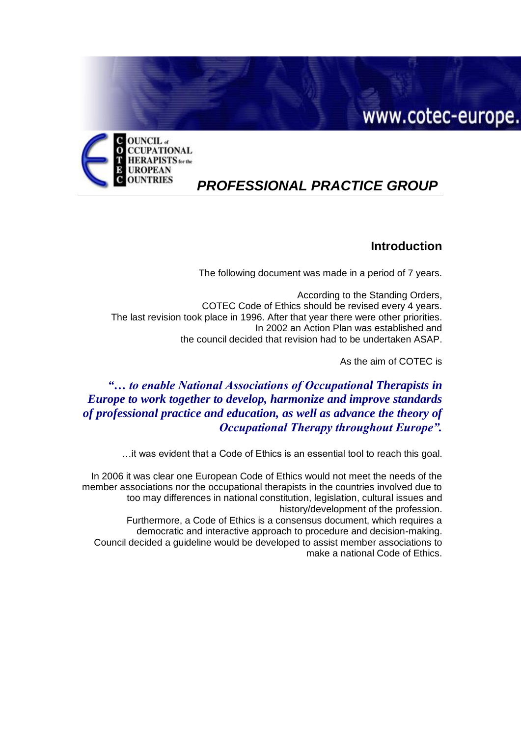# www.cotec-europe.



# *PROFESSIONAL PRACTICE GROUP*

# **Introduction**

The following document was made in a period of 7 years.

According to the Standing Orders, COTEC Code of Ethics should be revised every 4 years. The last revision took place in 1996. After that year there were other priorities. In 2002 an Action Plan was established and the council decided that revision had to be undertaken ASAP.

As the aim of COTEC is

*"… to enable National Associations of Occupational Therapists in Europe to work together to develop, harmonize and improve standards of professional practice and education, as well as advance the theory of Occupational Therapy throughout Europe".*

…it was evident that a Code of Ethics is an essential tool to reach this goal.

In 2006 it was clear one European Code of Ethics would not meet the needs of the member associations nor the occupational therapists in the countries involved due to too may differences in national constitution, legislation, cultural issues and history/development of the profession.

Furthermore, a Code of Ethics is a consensus document, which requires a democratic and interactive approach to procedure and decision-making. Council decided a guideline would be developed to assist member associations to make a national Code of Ethics.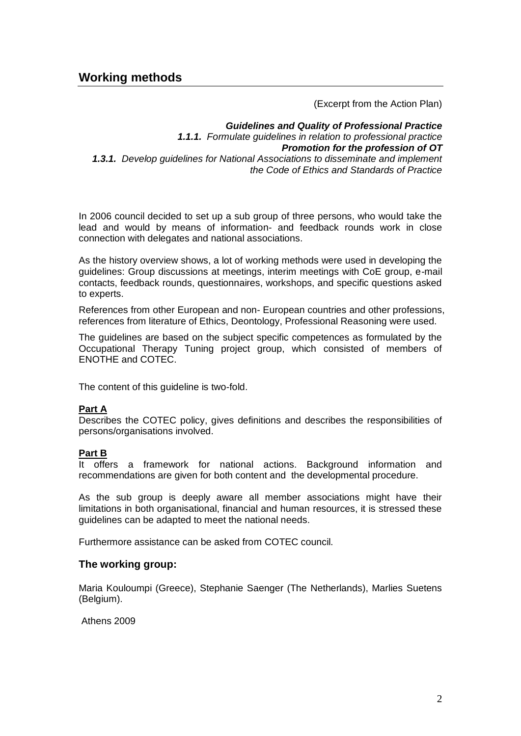(Excerpt from the Action Plan)

#### *Guidelines and Quality of Professional Practice 1.1.1. Formulate guidelines in relation to professional practice Promotion for the profession of OT 1.3.1. Develop guidelines for National Associations to disseminate and implement the Code of Ethics and Standards of Practice*

In 2006 council decided to set up a sub group of three persons, who would take the lead and would by means of information- and feedback rounds work in close connection with delegates and national associations.

As the history overview shows, a lot of working methods were used in developing the guidelines: Group discussions at meetings, interim meetings with CoE group, e-mail contacts, feedback rounds, questionnaires, workshops, and specific questions asked to experts.

References from other European and non- European countries and other professions, references from literature of Ethics, Deontology, Professional Reasoning were used.

The guidelines are based on the subject specific competences as formulated by the Occupational Therapy Tuning project group, which consisted of members of ENOTHE and COTEC.

The content of this guideline is two-fold.

# **Part A**

Describes the COTEC policy, gives definitions and describes the responsibilities of persons/organisations involved.

#### **Part B**

It offers a framework for national actions. Background information and recommendations are given for both content and the developmental procedure.

As the sub group is deeply aware all member associations might have their limitations in both organisational, financial and human resources, it is stressed these guidelines can be adapted to meet the national needs.

Furthermore assistance can be asked from COTEC council.

#### **The working group:**

Maria Kouloumpi (Greece), Stephanie Saenger (The Netherlands), Marlies Suetens (Belgium).

Athens 2009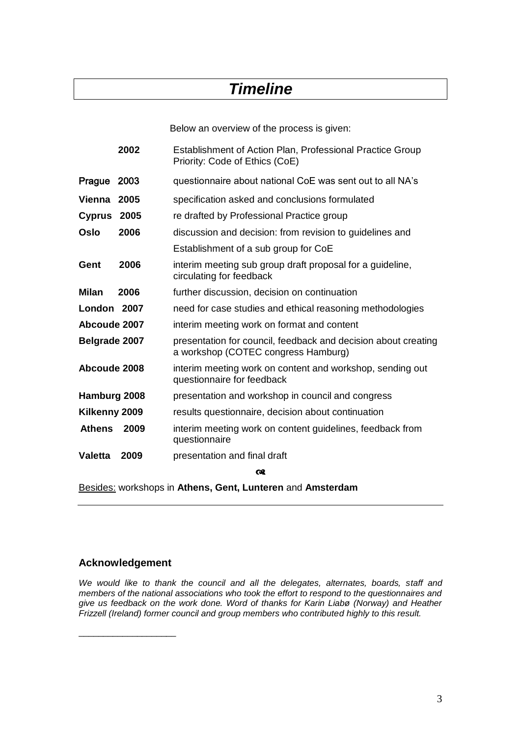# *Timeline*

Below an overview of the process is given:

| 2003<br>Prague<br><b>Vienna</b><br>2005 | questionnaire about national CoE was sent out to all NA's<br>specification asked and conclusions formulated |
|-----------------------------------------|-------------------------------------------------------------------------------------------------------------|
| 2005<br><b>Cyprus</b>                   | re drafted by Professional Practice group                                                                   |
| 2006<br>Oslo                            | discussion and decision: from revision to guidelines and                                                    |
|                                         | Establishment of a sub group for CoE                                                                        |
| 2006<br>Gent                            | interim meeting sub group draft proposal for a guideline,<br>circulating for feedback                       |
| Milan<br>2006                           | further discussion, decision on continuation                                                                |
| London 2007                             | need for case studies and ethical reasoning methodologies                                                   |
| Abcoude 2007                            | interim meeting work on format and content                                                                  |
| Belgrade 2007                           | presentation for council, feedback and decision about creating<br>a workshop (COTEC congress Hamburg)       |
| Abcoude 2008                            | interim meeting work on content and workshop, sending out<br>questionnaire for feedback                     |
| Hamburg 2008                            | presentation and workshop in council and congress                                                           |
| Kilkenny 2009                           | results questionnaire, decision about continuation                                                          |
| <b>Athens</b><br>2009                   | interim meeting work on content guidelines, feedback from<br>questionnaire                                  |
| <b>Valetta</b><br>2009                  | presentation and final draft                                                                                |
|                                         | ෬                                                                                                           |

Besides: workshops in **Athens, Gent, Lunteren** and **Amsterdam**

# **Acknowledgement**

\_\_\_\_\_\_\_\_\_\_\_\_\_\_\_\_\_\_\_\_

*We would like to thank the council and all the delegates, alternates, boards, staff and members of the national associations who took the effort to respond to the questionnaires and give us feedback on the work done. Word of thanks for Karin Liabø (Norway) and Heather Frizzell (Ireland) former council and group members who contributed highly to this result.*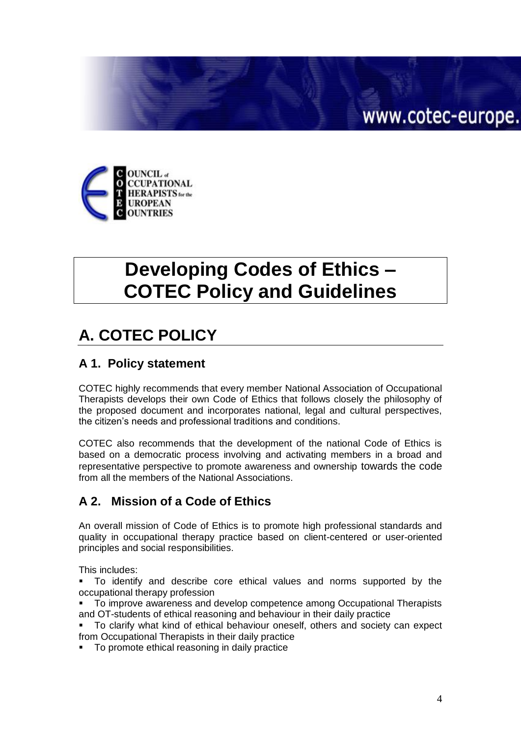



# **Developing Codes of Ethics – COTEC Policy and Guidelines**

# **A. COTEC POLICY**

# **A 1. Policy statement**

COTEC highly recommends that every member National Association of Occupational Therapists develops their own Code of Ethics that follows closely the philosophy of the proposed document and incorporates national, legal and cultural perspectives, the citizen's needs and professional traditions and conditions.

COTEC also recommends that the development of the national Code of Ethics is based on a democratic process involving and activating members in a broad and representative perspective to promote awareness and ownership towards the code from all the members of the National Associations.

# **A 2. Mission of a Code of Ethics**

An overall mission of Code of Ethics is to promote high professional standards and quality in occupational therapy practice based on client-centered or user-oriented principles and social responsibilities.

This includes:

 To identify and describe core ethical values and norms supported by the occupational therapy profession

 To improve awareness and develop competence among Occupational Therapists and OT-students of ethical reasoning and behaviour in their daily practice

 To clarify what kind of ethical behaviour oneself, others and society can expect from Occupational Therapists in their daily practice

• To promote ethical reasoning in daily practice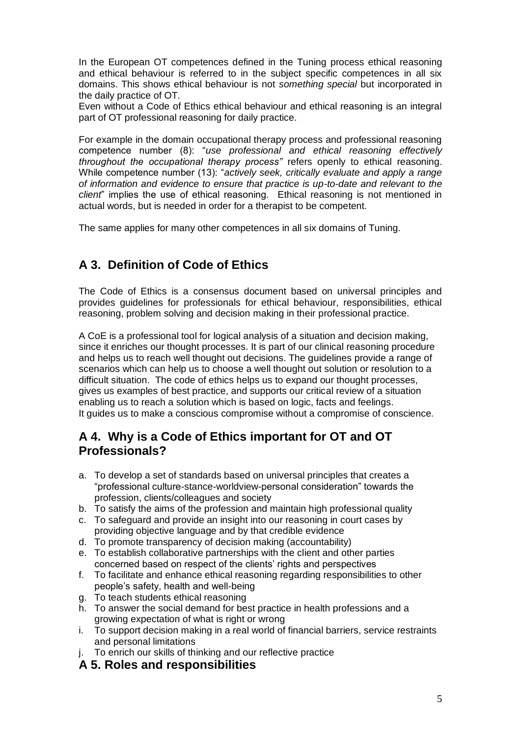In the European OT competences defined in the Tuning process ethical reasoning and ethical behaviour is referred to in the subject specific competences in all six domains. This shows ethical behaviour is not *something special* but incorporated in the daily practice of OT.

Even without a Code of Ethics ethical behaviour and ethical reasoning is an integral part of OT professional reasoning for daily practice.

For example in the domain occupational therapy process and professional reasoning competence number (8): "*use professional and ethical reasoning effectively throughout the occupational therapy process"* refers openly to ethical reasoning. While competence number (13): "*actively seek, critically evaluate and apply a range of information and evidence to ensure that practice is up-to-date and relevant to the client*" implies the use of ethical reasoning*.* Ethical reasoning is not mentioned in actual words, but is needed in order for a therapist to be competent.

The same applies for many other competences in all six domains of Tuning.

# **A 3. Definition of Code of Ethics**

The Code of Ethics is a consensus document based on universal principles and provides guidelines for professionals for ethical behaviour, responsibilities, ethical reasoning, problem solving and decision making in their professional practice.

A CoE is a professional tool for logical analysis of a situation and decision making, since it enriches our thought processes. It is part of our clinical reasoning procedure and helps us to reach well thought out decisions. The guidelines provide a range of scenarios which can help us to choose a well thought out solution or resolution to a difficult situation. The code of ethics helps us to expand our thought processes, gives us examples of best practice, and supports our critical review of a situation enabling us to reach a solution which is based on logic, facts and feelings. It guides us to make a conscious compromise without a compromise of conscience.

# **A 4. Why is a Code of Ethics important for OT and OT Professionals?**

- a. To develop a set of standards based on universal principles that creates a "professional culture-stance-worldview-personal consideration" towards the profession, clients/colleagues and society
- b. To satisfy the aims of the profession and maintain high professional quality
- c. To safeguard and provide an insight into our reasoning in court cases by providing objective language and by that credible evidence
- d. To promote transparency of decision making (accountability)
- e. To establish collaborative partnerships with the client and other parties concerned based on respect of the clients' rights and perspectives
- f. To facilitate and enhance ethical reasoning regarding responsibilities to other people's safety, health and well-being
- g. To teach students ethical reasoning
- h. To answer the social demand for best practice in health professions and a growing expectation of what is right or wrong
- i. To support decision making in a real world of financial barriers, service restraints and personal limitations
- j. To enrich our skills of thinking and our reflective practice

# **A 5. Roles and responsibilities**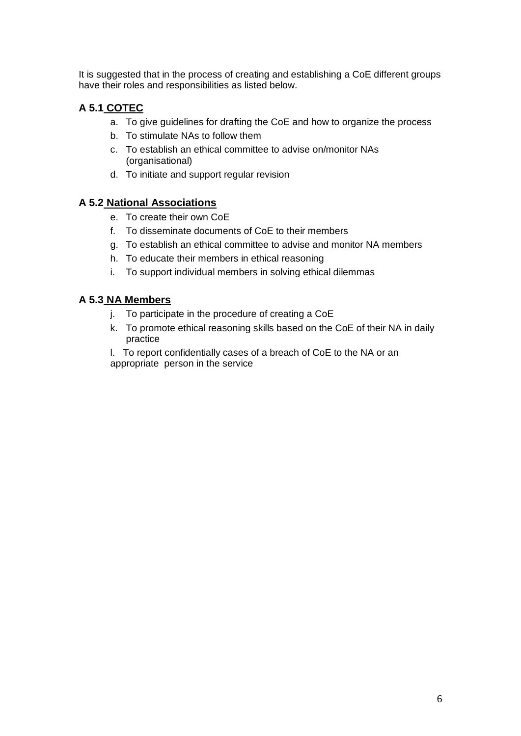It is suggested that in the process of creating and establishing a CoE different groups have their roles and responsibilities as listed below.

## **A 5.1 COTEC**

- a. To give guidelines for drafting the CoE and how to organize the process
- b. To stimulate NAs to follow them
- c. To establish an ethical committee to advise on/monitor NAs (organisational)
- d. To initiate and support regular revision

#### **A 5.2 National Associations**

- e. To create their own CoE
- f. To disseminate documents of CoE to their members
- g. To establish an ethical committee to advise and monitor NA members
- h. To educate their members in ethical reasoning
- i. To support individual members in solving ethical dilemmas

### **A 5.3 NA Members**

- j. To participate in the procedure of creating a CoE
- k. To promote ethical reasoning skills based on the CoE of their NA in daily practice
- l. To report confidentially cases of a breach of CoE to the NA or an appropriate person in the service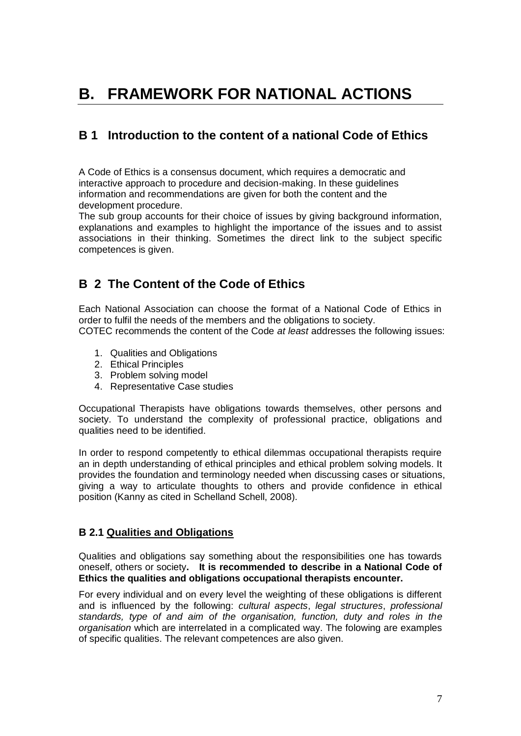# **B. FRAMEWORK FOR NATIONAL ACTIONS**

# **B 1 Introduction to the content of a national Code of Ethics**

A Code of Ethics is a consensus document, which requires a democratic and interactive approach to procedure and decision-making. In these guidelines information and recommendations are given for both the content and the development procedure.

The sub group accounts for their choice of issues by giving background information, explanations and examples to highlight the importance of the issues and to assist associations in their thinking. Sometimes the direct link to the subject specific competences is given.

# **B 2 The Content of the Code of Ethics**

Each National Association can choose the format of a National Code of Ethics in order to fulfil the needs of the members and the obligations to society. COTEC recommends the content of the Code *at least* addresses the following issues:

- 1. Qualities and Obligations
- 2. Ethical Principles
- 3. Problem solving model
- 4. Representative Case studies

Occupational Therapists have obligations towards themselves, other persons and society. To understand the complexity of professional practice, obligations and qualities need to be identified.

In order to respond competently to ethical dilemmas occupational therapists require an in depth understanding of ethical principles and ethical problem solving models. It provides the foundation and terminology needed when discussing cases or situations, giving a way to articulate thoughts to others and provide confidence in ethical position (Kanny as cited in Schelland Schell, 2008).

# **B 2.1 Qualities and Obligations**

Qualities and obligations say something about the responsibilities one has towards oneself, others or society**. It is recommended to describe in a National Code of Ethics the qualities and obligations occupational therapists encounter.**

For every individual and on every level the weighting of these obligations is different and is influenced by the following: *cultural aspects*, *legal structures*, *professional standards, type of and aim of the organisation, function, duty and roles in the organisation* which are interrelated in a complicated way. The folowing are examples of specific qualities. The relevant competences are also given.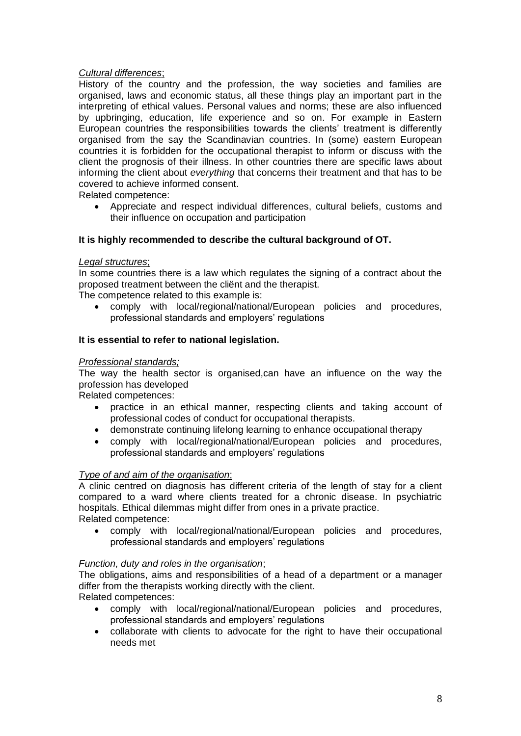#### *Cultural differences*;

History of the country and the profession, the way societies and families are organised, laws and economic status, all these things play an important part in the interpreting of ethical values. Personal values and norms; these are also influenced by upbringing, education, life experience and so on. For example in Eastern European countries the responsibilities towards the clients' treatment is differently organised from the say the Scandinavian countries. In (some) eastern European countries it is forbidden for the occupational therapist to inform or discuss with the client the prognosis of their illness. In other countries there are specific laws about informing the client about *everything* that concerns their treatment and that has to be covered to achieve informed consent.

Related competence:

 Appreciate and respect individual differences, cultural beliefs, customs and their influence on occupation and participation

# **It is highly recommended to describe the cultural background of OT.**

#### *Legal structures*;

In some countries there is a law which regulates the signing of a contract about the proposed treatment between the cliënt and the therapist.

The competence related to this example is:

 comply with local/regional/national/European policies and procedures, professional standards and employers' regulations

### **It is essential to refer to national legislation.**

#### *Professional standards;*

The way the health sector is organised,can have an influence on the way the profession has developed

Related competences:

- practice in an ethical manner, respecting clients and taking account of professional codes of conduct for occupational therapists.
- demonstrate continuing lifelong learning to enhance occupational therapy
- comply with local/regional/national/European policies and procedures, professional standards and employers' regulations

#### *Type of and aim of the organisation*;

A clinic centred on diagnosis has different criteria of the length of stay for a client compared to a ward where clients treated for a chronic disease. In psychiatric hospitals. Ethical dilemmas might differ from ones in a private practice. Related competence:

 comply with local/regional/national/European policies and procedures, professional standards and employers' regulations

#### *Function, duty and roles in the organisation*;

The obligations, aims and responsibilities of a head of a department or a manager differ from the therapists working directly with the client.

Related competences:

- comply with local/regional/national/European policies and procedures, professional standards and employers' regulations
- collaborate with clients to advocate for the right to have their occupational needs met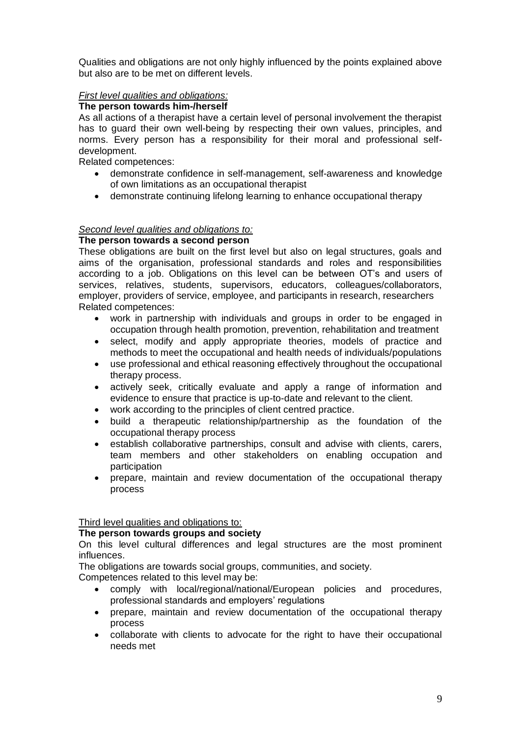Qualities and obligations are not only highly influenced by the points explained above but also are to be met on different levels.

#### *First level qualities and obligations:*

#### **The person towards him-/herself**

As all actions of a therapist have a certain level of personal involvement the therapist has to guard their own well-being by respecting their own values, principles, and norms. Every person has a responsibility for their moral and professional selfdevelopment.

Related competences:

- demonstrate confidence in self-management, self-awareness and knowledge of own limitations as an occupational therapist
- demonstrate continuing lifelong learning to enhance occupational therapy

#### *Second level qualities and obligations to:*

#### **The person towards a second person**

These obligations are built on the first level but also on legal structures, goals and aims of the organisation, professional standards and roles and responsibilities according to a job. Obligations on this level can be between OT's and users of services, relatives, students, supervisors, educators, colleagues/collaborators, employer, providers of service, employee, and participants in research, researchers Related competences:

- work in partnership with individuals and groups in order to be engaged in occupation through health promotion, prevention, rehabilitation and treatment
- select, modify and apply appropriate theories, models of practice and methods to meet the occupational and health needs of individuals/populations
- use professional and ethical reasoning effectively throughout the occupational therapy process.
- actively seek, critically evaluate and apply a range of information and evidence to ensure that practice is up-to-date and relevant to the client.
- work according to the principles of client centred practice.
- build a therapeutic relationship/partnership as the foundation of the occupational therapy process
- establish collaborative partnerships, consult and advise with clients, carers, team members and other stakeholders on enabling occupation and participation
- prepare, maintain and review documentation of the occupational therapy process

Third level qualities and obligations to:

#### **The person towards groups and society**

On this level cultural differences and legal structures are the most prominent influences.

The obligations are towards social groups, communities, and society.

Competences related to this level may be:

- comply with local/regional/national/European policies and procedures, professional standards and employers' regulations
- prepare, maintain and review documentation of the occupational therapy process
- collaborate with clients to advocate for the right to have their occupational needs met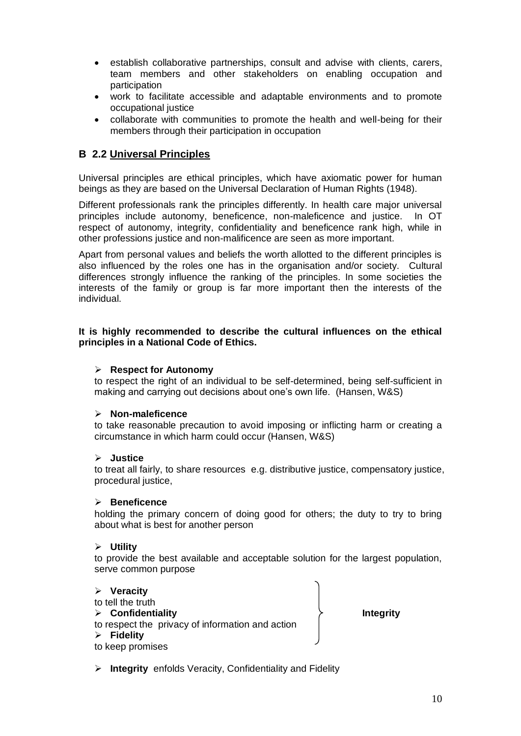- establish collaborative partnerships, consult and advise with clients, carers, team members and other stakeholders on enabling occupation and participation
- work to facilitate accessible and adaptable environments and to promote occupational justice
- collaborate with communities to promote the health and well-being for their members through their participation in occupation

# **B 2.2 Universal Principles**

Universal principles are ethical principles, which have axiomatic power for human beings as they are based on the Universal Declaration of Human Rights (1948).

Different professionals rank the principles differently. In health care major universal principles include autonomy, beneficence, non-maleficence and justice. In OT respect of autonomy, integrity, confidentiality and beneficence rank high, while in other professions justice and non-malificence are seen as more important.

Apart from personal values and beliefs the worth allotted to the different principles is also influenced by the roles one has in the organisation and/or society. Cultural differences strongly influence the ranking of the principles. In some societies the interests of the family or group is far more important then the interests of the individual.

#### **It is highly recommended to describe the cultural influences on the ethical principles in a National Code of Ethics.**

#### **Respect for Autonomy**

to respect the right of an individual to be self-determined, being self-sufficient in making and carrying out decisions about one's own life. (Hansen, W&S)

#### **Non-maleficence**

to take reasonable precaution to avoid imposing or inflicting harm or creating a circumstance in which harm could occur (Hansen, W&S)

#### **Justice**

to treat all fairly, to share resources e.g. distributive justice, compensatory justice, procedural justice,

#### **Beneficence**

holding the primary concern of doing good for others; the duty to try to bring about what is best for another person

#### **Utility**

to provide the best available and acceptable solution for the largest population, serve common purpose

#### **Veracity**

- to tell the truth
- **Confidentiality Integrity**
- to respect the privacy of information and action

#### **Fidelity**

to keep promises

**Integrity** enfolds Veracity, Confidentiality and Fidelity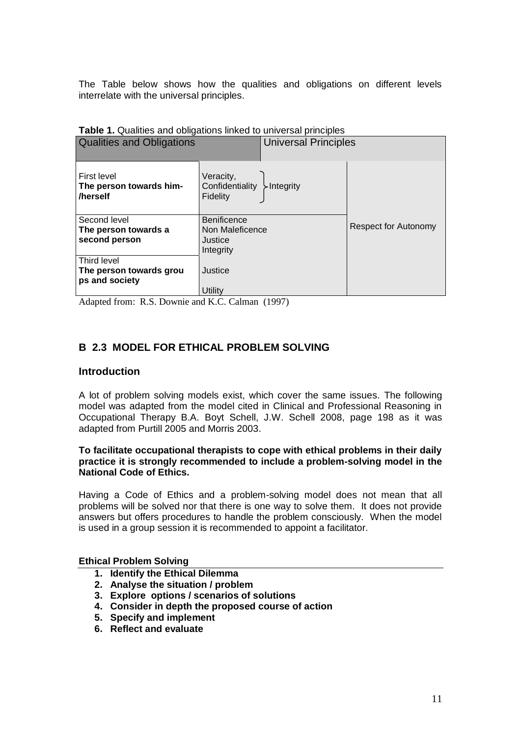The Table below shows how the qualities and obligations on different levels interrelate with the universal principles.

| <b>Qualities and Obligations</b>                          |                                                               | <b>Table 1.</b> Qualities and opligations limited to annoted principles.<br><b>Universal Principles</b> |                      |  |
|-----------------------------------------------------------|---------------------------------------------------------------|---------------------------------------------------------------------------------------------------------|----------------------|--|
| <b>First level</b><br>The person towards him-<br>/herself | Veracity,<br>Confidentiality<br>Fidelity                      | >Integrity                                                                                              |                      |  |
| Second level<br>The person towards a<br>second person     | <b>Benificence</b><br>Non Maleficence<br>Justice<br>Integrity |                                                                                                         | Respect for Autonomy |  |
| Third level<br>The person towards grou<br>ps and society  | Justice<br>Utility                                            |                                                                                                         |                      |  |

| Table 1. Qualities and obligations linked to universal principles |  |  |  |
|-------------------------------------------------------------------|--|--|--|
|                                                                   |  |  |  |

Adapted from: R.S. Downie and K.C. Calman (1997)

# **B 2.3 MODEL FOR ETHICAL PROBLEM SOLVING**

#### **Introduction**

A lot of problem solving models exist, which cover the same issues. The following model was adapted from the model cited in Clinical and Professional Reasoning in Occupational Therapy B.A. Boyt Schell, J.W. Schell 2008, page 198 as it was adapted from Purtill 2005 and Morris 2003.

#### **To facilitate occupational therapists to cope with ethical problems in their daily practice it is strongly recommended to include a problem-solving model in the National Code of Ethics.**

Having a Code of Ethics and a problem-solving model does not mean that all problems will be solved nor that there is one way to solve them. It does not provide answers but offers procedures to handle the problem consciously. When the model is used in a group session it is recommended to appoint a facilitator.

#### **Ethical Problem Solving**

- **1. Identify the Ethical Dilemma**
- **2. Analyse the situation / problem**
- **3. Explore options / scenarios of solutions**
- **4. Consider in depth the proposed course of action**
- **5. Specify and implement**
- **6. Reflect and evaluate**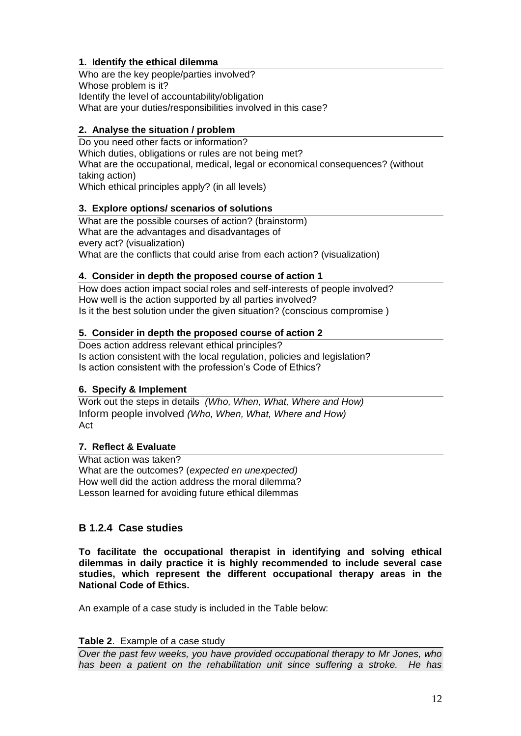# **1. Identify the ethical dilemma**

Who are the key people/parties involved? Whose problem is it? Identify the level of accountability/obligation What are your duties/responsibilities involved in this case?

# **2. Analyse the situation / problem**

Do you need other facts or information? Which duties, obligations or rules are not being met? What are the occupational, medical, legal or economical consequences? (without taking action) Which ethical principles apply? (in all levels)

# **3. Explore options/ scenarios of solutions**

What are the possible courses of action? (brainstorm) What are the advantages and disadvantages of every act? (visualization) What are the conflicts that could arise from each action? (visualization)

#### **4. Consider in depth the proposed course of action 1**

How does action impact social roles and self-interests of people involved? How well is the action supported by all parties involved? Is it the best solution under the given situation? (conscious compromise )

### **5. Consider in depth the proposed course of action 2**

Does action address relevant ethical principles? Is action consistent with the local regulation, policies and legislation? Is action consistent with the profession's Code of Ethics?

# **6. Specify & Implement**

Work out the steps in details *(Who, When, What, Where and How)* Inform people involved *(Who, When, What, Where and How)* Act

# **7. Reflect & Evaluate**

What action was taken? What are the outcomes? (*expected en unexpected)* How well did the action address the moral dilemma? Lesson learned for avoiding future ethical dilemmas

# **B 1.2.4 Case studies**

**To facilitate the occupational therapist in identifying and solving ethical dilemmas in daily practice it is highly recommended to include several case studies, which represent the different occupational therapy areas in the National Code of Ethics.** 

An example of a case study is included in the Table below:

#### **Table 2**. Example of a case study

*Over the past few weeks, you have provided occupational therapy to Mr Jones, who has been a patient on the rehabilitation unit since suffering a stroke. He has*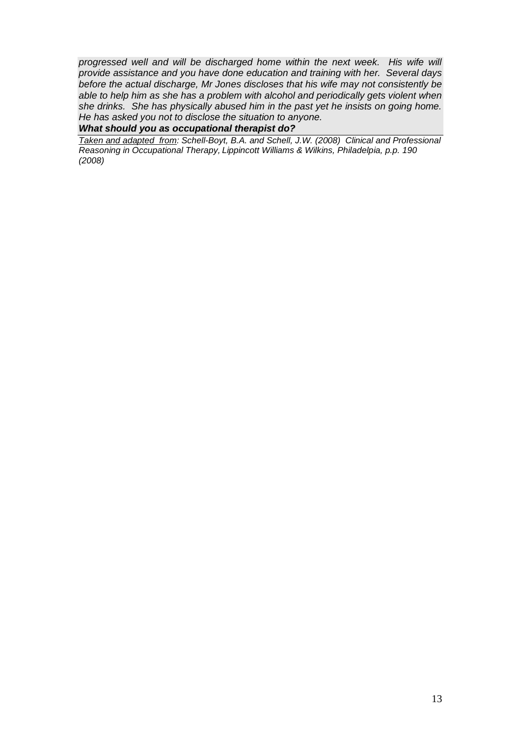progressed well and will be discharged home within the next week. His wife will *provide assistance and you have done education and training with her. Several days before the actual discharge, Mr Jones discloses that his wife may not consistently be able to help him as she has a problem with alcohol and periodically gets violent when she drinks. She has physically abused him in the past yet he insists on going home. He has asked you not to disclose the situation to anyone.* 

#### *What should you as occupational therapist do?*

*Taken and adapted from: Schell-Boyt, B.A. and Schell, J.W. (2008) Clinical and Professional Reasoning in Occupational Therapy, Lippincott Williams & Wilkins, Philadelpia, p.p. 190*<br>(2008) *(2008)) Clinical and Professional Reasoning in Occupational Therapy, Lippincott Williams & Wilkins, Philadelpia, p.p. 190*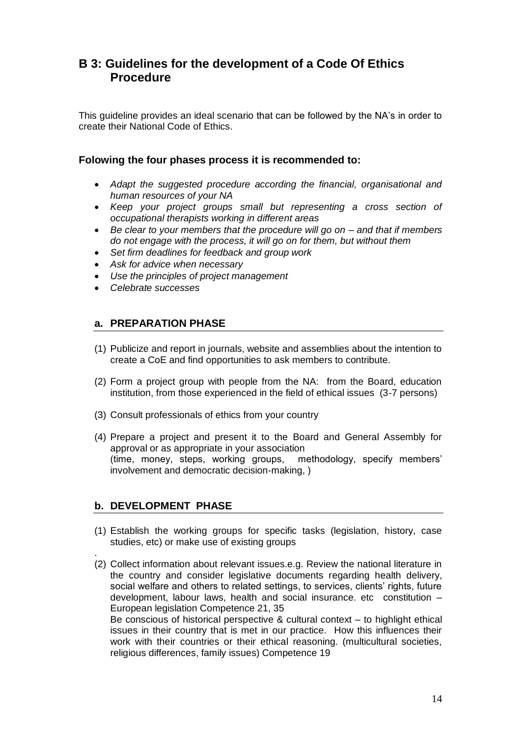# **B 3: Guidelines for the development of a Code Of Ethics Procedure**

This guideline provides an ideal scenario that can be followed by the NA's in order to create their National Code of Ethics.

### **Folowing the four phases process it is recommended to:**

- *Adapt the suggested procedure according the financial, organisational and human resources of your NA*
- *Keep your project groups small but representing a cross section of occupational therapists working in different areas*
- *Be clear to your members that the procedure will go on – and that if members do not engage with the process, it will go on for them, but without them*
- *Set firm deadlines for feedback and group work*
- *Ask for advice when necessary*
- *Use the principles of project management*
- *Celebrate successes*

### **a. PREPARATION PHASE**

- (1) Publicize and report in journals, website and assemblies about the intention to create a CoE and find opportunities to ask members to contribute.
- (2) Form a project group with people from the NA: from the Board, education institution, from those experienced in the field of ethical issues (3-7 persons)
- (3) Consult professionals of ethics from your country
- (4) Prepare a project and present it to the Board and General Assembly for approval or as appropriate in your association (time, money, steps, working groups, methodology, specify members' involvement and democratic decision-making, )

#### **b. DEVELOPMENT PHASE**

- (1) Establish the working groups for specific tasks (legislation, history, case studies, etc) or make use of existing groups
- . (2) Collect information about relevant issues.e.g. Review the national literature in the country and consider legislative documents regarding health delivery, social welfare and others to related settings, to services, clients' rights, future development, labour laws, health and social insurance. etc constitution – European legislation Competence 21, 35 Be conscious of historical perspective  $\&$  cultural context – to highlight ethical issues in their country that is met in our practice. How this influences their work with their countries or their ethical reasoning. (multicultural societies,

religious differences, family issues) Competence 19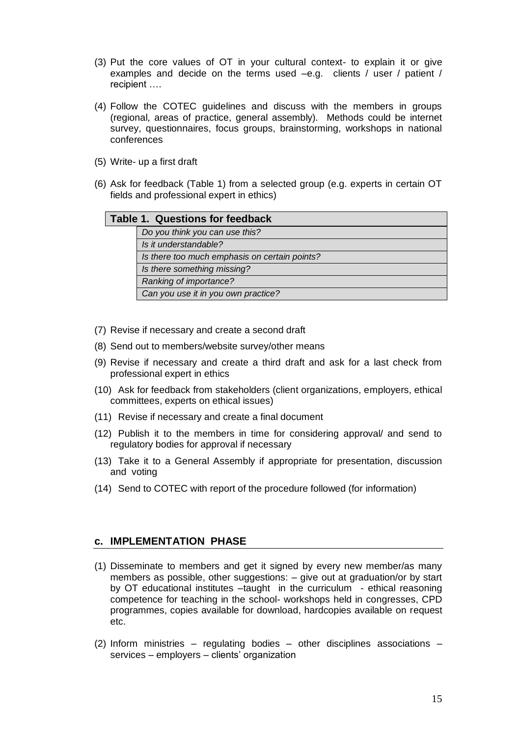- (3) Put the core values of OT in your cultural context- to explain it or give examples and decide on the terms used –e.g. clients / user / patient / recipient ….
- (4) Follow the COTEC guidelines and discuss with the members in groups (regional, areas of practice, general assembly). Methods could be internet survey, questionnaires, focus groups, brainstorming, workshops in national conferences
- (5) Write- up a first draft
- (6) Ask for feedback (Table 1) from a selected group (e.g. experts in certain OT fields and professional expert in ethics)

| <b>Table 1. Questions for feedback</b>        |
|-----------------------------------------------|
| Do you think you can use this?                |
| Is it understandable?                         |
| Is there too much emphasis on certain points? |
| Is there something missing?                   |
| Ranking of importance?                        |
| Can you use it in you own practice?           |
|                                               |

- (7) Revise if necessary and create a second draft
- (8) Send out to members/website survey/other means
- (9) Revise if necessary and create a third draft and ask for a last check from professional expert in ethics
- (10) Ask for feedback from stakeholders (client organizations, employers, ethical committees, experts on ethical issues)
- (11) Revise if necessary and create a final document
- (12) Publish it to the members in time for considering approval/ and send to regulatory bodies for approval if necessary
- (13) Take it to a General Assembly if appropriate for presentation, discussion and voting
- (14) Send to COTEC with report of the procedure followed (for information)

#### **c. IMPLEMENTATION PHASE**

- (1) Disseminate to members and get it signed by every new member/as many members as possible, other suggestions: – give out at graduation/or by start by OT educational institutes –taught in the curriculum - ethical reasoning competence for teaching in the school- workshops held in congresses, CPD programmes, copies available for download, hardcopies available on request etc.
- (2) Inform ministries regulating bodies other disciplines associations services – employers – clients' organization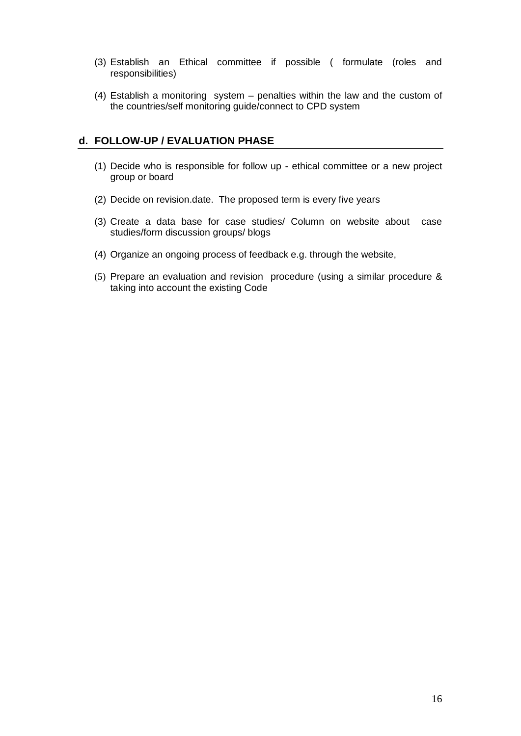- (3) Establish an Ethical committee if possible ( formulate (roles and responsibilities)
- (4) Establish a monitoring system penalties within the law and the custom of the countries/self monitoring guide/connect to CPD system

#### **d. FOLLOW-UP / EVALUATION PHASE**

- (1) Decide who is responsible for follow up ethical committee or a new project group or board
- (2) Decide on revision.date. The proposed term is every five years
- (3) Create a data base for case studies/ Column on website about case studies/form discussion groups/ blogs
- (4) Organize an ongoing process of feedback e.g. through the website,
- (5) Prepare an evaluation and revision procedure (using a similar procedure & taking into account the existing Code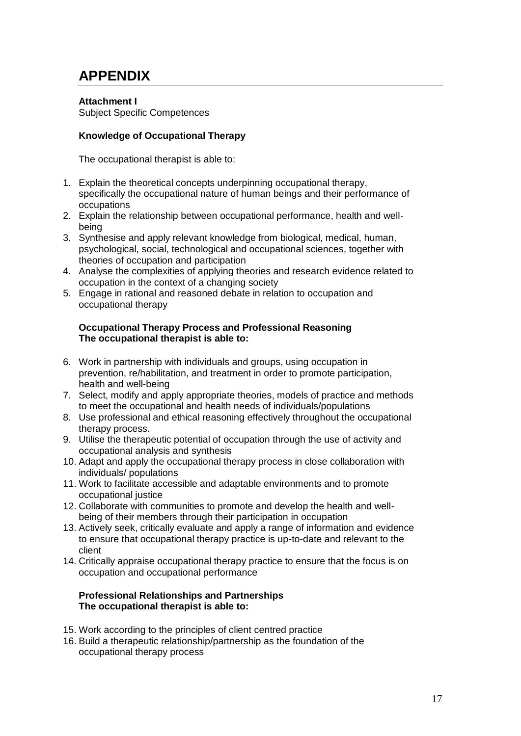# **APPENDIX**

# **Attachment I**

Subject Specific Competences

# **Knowledge of Occupational Therapy**

The occupational therapist is able to:

- 1. Explain the theoretical concepts underpinning occupational therapy, specifically the occupational nature of human beings and their performance of occupations
- 2. Explain the relationship between occupational performance, health and wellbeing
- 3. Synthesise and apply relevant knowledge from biological, medical, human, psychological, social, technological and occupational sciences, together with theories of occupation and participation
- 4. Analyse the complexities of applying theories and research evidence related to occupation in the context of a changing society
- 5. Engage in rational and reasoned debate in relation to occupation and occupational therapy

#### **Occupational Therapy Process and Professional Reasoning The occupational therapist is able to:**

- 6. Work in partnership with individuals and groups, using occupation in prevention, re/habilitation, and treatment in order to promote participation, health and well-being
- 7. Select, modify and apply appropriate theories, models of practice and methods to meet the occupational and health needs of individuals/populations
- 8. Use professional and ethical reasoning effectively throughout the occupational therapy process.
- 9. Utilise the therapeutic potential of occupation through the use of activity and occupational analysis and synthesis
- 10. Adapt and apply the occupational therapy process in close collaboration with individuals/ populations
- 11. Work to facilitate accessible and adaptable environments and to promote occupational justice
- 12. Collaborate with communities to promote and develop the health and wellbeing of their members through their participation in occupation
- 13. Actively seek, critically evaluate and apply a range of information and evidence to ensure that occupational therapy practice is up-to-date and relevant to the client
- 14. Critically appraise occupational therapy practice to ensure that the focus is on occupation and occupational performance

# **Professional Relationships and Partnerships The occupational therapist is able to:**

- 15. Work according to the principles of client centred practice
- 16. Build a therapeutic relationship/partnership as the foundation of the occupational therapy process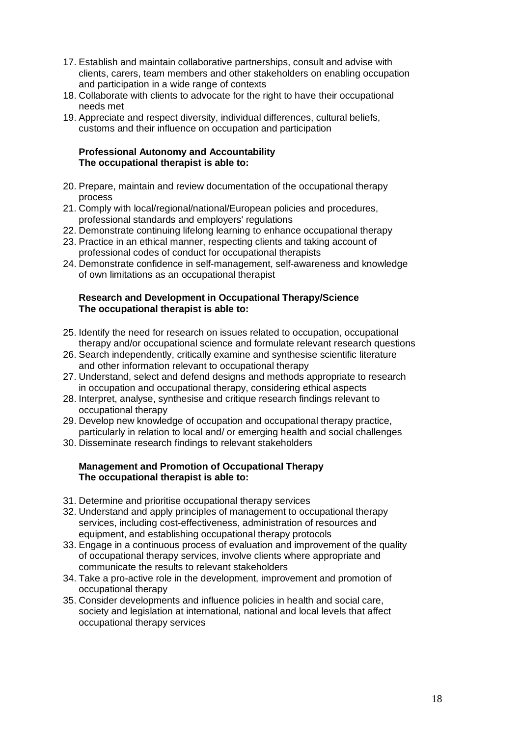- 17. Establish and maintain collaborative partnerships, consult and advise with clients, carers, team members and other stakeholders on enabling occupation and participation in a wide range of contexts
- 18. Collaborate with clients to advocate for the right to have their occupational needs met
- 19. Appreciate and respect diversity, individual differences, cultural beliefs, customs and their influence on occupation and participation

#### **Professional Autonomy and Accountability The occupational therapist is able to:**

- 20. Prepare, maintain and review documentation of the occupational therapy process
- 21. Comply with local/regional/national/European policies and procedures, professional standards and employers' regulations
- 22. Demonstrate continuing lifelong learning to enhance occupational therapy
- 23. Practice in an ethical manner, respecting clients and taking account of professional codes of conduct for occupational therapists
- 24. Demonstrate confidence in self-management, self-awareness and knowledge of own limitations as an occupational therapist

#### **Research and Development in Occupational Therapy/Science The occupational therapist is able to:**

- 25. Identify the need for research on issues related to occupation, occupational therapy and/or occupational science and formulate relevant research questions
- 26. Search independently, critically examine and synthesise scientific literature and other information relevant to occupational therapy
- 27. Understand, select and defend designs and methods appropriate to research in occupation and occupational therapy, considering ethical aspects
- 28. Interpret, analyse, synthesise and critique research findings relevant to occupational therapy
- 29. Develop new knowledge of occupation and occupational therapy practice, particularly in relation to local and/ or emerging health and social challenges
- 30. Disseminate research findings to relevant stakeholders

#### **Management and Promotion of Occupational Therapy The occupational therapist is able to:**

- 31. Determine and prioritise occupational therapy services
- 32. Understand and apply principles of management to occupational therapy services, including cost-effectiveness, administration of resources and equipment, and establishing occupational therapy protocols
- 33. Engage in a continuous process of evaluation and improvement of the quality of occupational therapy services, involve clients where appropriate and communicate the results to relevant stakeholders
- 34. Take a pro-active role in the development, improvement and promotion of occupational therapy
- 35. Consider developments and influence policies in health and social care, society and legislation at international, national and local levels that affect occupational therapy services